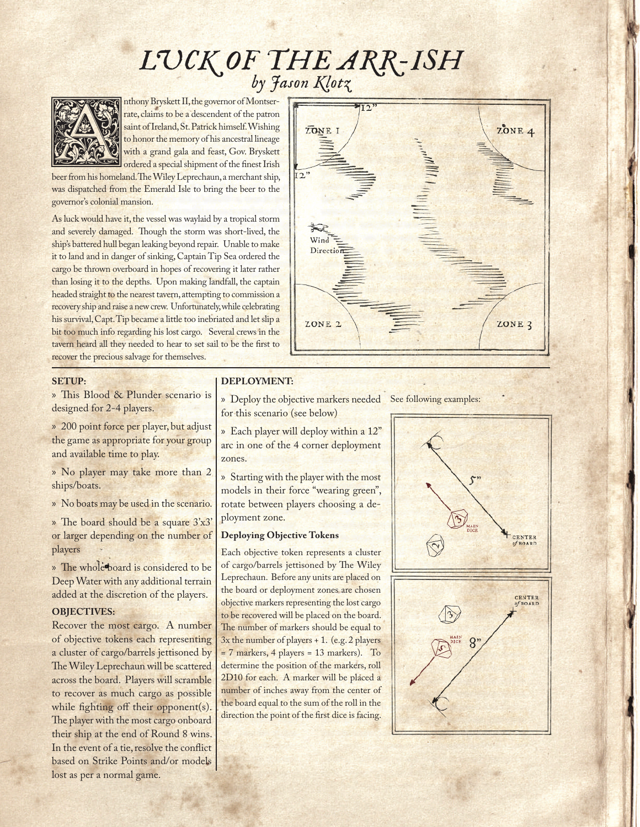# *LUCK OF THE ARR-ISH by Jason Klotz*



by  $\frac{dy}{dx}$ <br>
Anthony Bryskett II, the governor of Montser-<br>
rate, claims to be a descendent of the patron<br>
saint of Ireland, St. Patrick himself. Wishing<br>
to honor the memory of his ancestral lineage<br>
with a grand gala an rate, claims to be a descendent of the patron saint of Ireland, St. Patrick himself. Wishing to honor the memory of his ancestral lineage with a grand gala and feast, Gov. Bryskett ordered a special shipment of the finest Irish

beer from his homeland. The Wiley Leprechaun, a merchant ship, was dispatched from the Emerald Isle to bring the beer to the governor's colonial mansion.

As luck would have it, the vessel was waylaid by a tropical storm and severely damaged. Though the storm was short-lived, the ship's battered hull began leaking beyond repair. Unable to make it to land and in danger of sinking, Captain Tip Sea ordered the cargo be thrown overboard in hopes of recovering it later rather than losing it to the depths. Upon making landfall, the captain headed straight to the nearest tavern, attempting to commission a recovery ship and raise a new crew. Unfortunately, while celebrating his survival, Capt. Tip became a little too inebriated and let slip a bit too much info regarding his lost cargo. Several crews in the tavern heard all they needed to hear to set sail to be the first to recover the precious salvage for themselves.



### **SETUP:**

» This Blood & Plunder scenario is designed for 2-4 players.

» 200 point force per player, but adjust the game as appropriate for your group and available time to play.

» No player may take more than 2 ships/boats.

» No boats may be used in the scenario.

» The board should be a square 3'x3' or larger depending on the number of players

» The whole board is considered to be Deep Water with any additional terrain added at the discretion of the players.

#### **OBJECTIVES:**

Recover the most cargo. A number of objective tokens each representing a cluster of cargo/barrels jettisoned by The Wiley Leprechaun will be scattered across the board. Players will scramble to recover as much cargo as possible while fighting off their opponent(s). The player with the most cargo onboard their ship at the end of Round 8 wins. In the event of a tie, resolve the conflict based on Strike Points and/or models lost as per a normal game.

### **DEPLOYMENT:**

- » Deploy the objective markers needed See following examples:for this scenario (see below)
- » Each player will deploy within a 12" arc in one of the 4 corner deployment zones.

» Starting with the player with the most models in their force "wearing green", rotate between players choosing a deployment zone.

#### **Deploying Objective Tokens**

Each objective token represents a cluster of cargo/barrels jettisoned by The Wiley Leprechaun. Before any units are placed on the board or deployment zones are chosen objective markers representing the lost cargo to be recovered will be placed on the board. The number of markers should be equal to  $3x$  the number of players  $+1$ . (e.g. 2 players = 7 markers, 4 players = 13 markers). To determine the position of the markers, roll 2D10 for each. A marker will be placed a number of inches away from the center of the board equal to the sum of the roll in the direction the point of the first dice is facing.